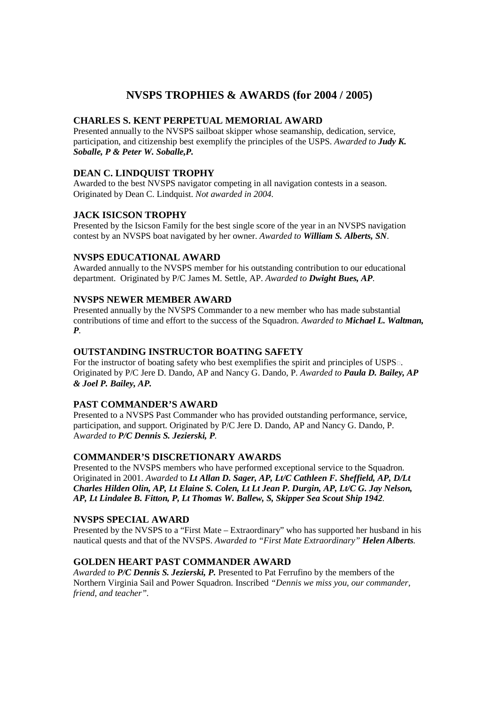# **NVSPS TROPHIES & AWARDS (for 2004 / 2005)**

## **CHARLES S. KENT PERPETUAL MEMORIAL AWARD**

Presented annually to the NVSPS sailboat skipper whose seamanship, dedication, service, participation, and citizenship best exemplify the principles of the USPS. *Awarded to Judy K. Soballe, P & Peter W. Soballe,P.* 

# **DEAN C. LINDQUIST TROPHY**

Awarded to the best NVSPS navigator competing in all navigation contests in a season. Originated by Dean C. Lindquist. *Not awarded in 2004.* 

# **JACK ISICSON TROPHY**

Presented by the Isicson Family for the best single score of the year in an NVSPS navigation contest by an NVSPS boat navigated by her owner. *Awarded to William S. Alberts, SN*.

## **NVSPS EDUCATIONAL AWARD**

Awarded annually to the NVSPS member for his outstanding contribution to our educational department. Originated by P/C James M. Settle, AP. *Awarded to Dwight Bues, AP*.

#### **NVSPS NEWER MEMBER AWARD**

Presented annually by the NVSPS Commander to a new member who has made substantial contributions of time and effort to the success of the Squadron. *Awarded to Michael L. Waltman, P.* 

## **OUTSTANDING INSTRUCTOR BOATING SAFETY**

For the instructor of boating safety who best exemplifies the spirit and principles of USPS. Originated by P/C Jere D. Dando, AP and Nancy G. Dando, P. *Awarded to Paula D. Bailey, AP & Joel P. Bailey, AP.* 

## **PAST COMMANDER'S AWARD**

Presented to a NVSPS Past Commander who has provided outstanding performance, service, participation, and support. Originated by P/C Jere D. Dando, AP and Nancy G. Dando, P. A*warded to P/C Dennis S. Jezierski, P.* 

## **COMMANDER'S DISCRETIONARY AWARDS**

Presented to the NVSPS members who have performed exceptional service to the Squadron. Originated in 2001. *Awarded* to *Lt Allan D. Sager, AP, Lt/C Cathleen F. Sheffield, AP, D/Lt Charles Hilden Olin, AP, Lt Elaine S. Colen, Lt Lt Jean P. Durgin, AP, Lt/C G. Jay Nelson, AP, Lt Lindalee B. Fitton, P, Lt Thomas W. Ballew, S, Skipper Sea Scout Ship 1942.* 

## **NVSPS SPECIAL AWARD**

Presented by the NVSPS to a "First Mate – Extraordinary" who has supported her husband in his nautical quests and that of the NVSPS. *Awarded to "First Mate Extraordinary" Helen Alberts.* 

## **GOLDEN HEART PAST COMMANDER AWARD**

*Awarded to P/C Dennis S. Jezierski, P.* Presented to Pat Ferrufino by the members of the Northern Virginia Sail and Power Squadron. Inscribed *"Dennis we miss you, our commander, friend, and teacher".*